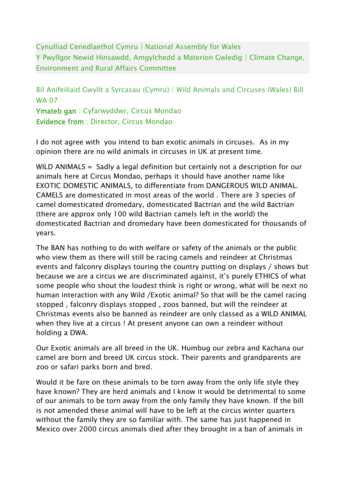Cynulliad Cenedlaethol Cymru | National Assembly for Wales Y Pwyllgor Newid Hinsawdd, Amgylchedd a Materion Gwledig | Climate Change, Environment and Rural Affairs Committee

Bil Anifeiliaid Gwyllt a Syrcasau (Cymru) | Wild Animals and Circuses (Wales) Bill WA 07

Ymateb gan : Cyfarwyddwr, Circus Mondao Evidence from : Director, Circus Mondao

I do not agree with you intend to ban exotic animals in circuses. As in my opinion there are no wild animals in circuses in UK at present time.

WILD ANIMALS = Sadly a legal definition but certainly not a description for our animals here at Circus Mondao, perhaps it should have another name like EXOTIC DOMESTIC ANIMALS, to differentiate from DANGEROUS WILD ANIMAL. CAMELS are domesticated in most areas of the world . There are 3 species of camel domesticated dromedary, domesticated Bactrian and the wild Bactrian (there are approx only 100 wild Bactrian camels left in the world) the domesticated Bactrian and dromedary have been domesticated for thousands of years.

The BAN has nothing to do with welfare or safety of the animals or the public who view them as there will still be racing camels and reindeer at Christmas events and falconry displays touring the country putting on displays / shows but because we are a circus we are discriminated against, it's purely ETHICS of what some people who shout the loudest think is right or wrong, what will be next no human interaction with any Wild /Exotic animal? So that will be the camel racing stopped , falconry displays stopped , zoos banned, but will the reindeer at Christmas events also be banned as reindeer are only classed as a WILD ANIMAL when they live at a circus ! At present anyone can own a reindeer without holding a DWA.

Our Exotic animals are all breed in the UK. Humbug our zebra and Kachana our camel are born and breed UK circus stock. Their parents and grandparents are zoo or safari parks born and bred.

Would it be fare on these animals to be torn away from the only life style they have known? They are herd animals and I know it would be detrimental to some of our animals to be torn away from the only family they have known. If the bill is not amended these animal will have to be left at the circus winter quarters without the family they are so familiar with. The same has just happened in Mexico over 2000 circus animals died after they brought in a ban of animals in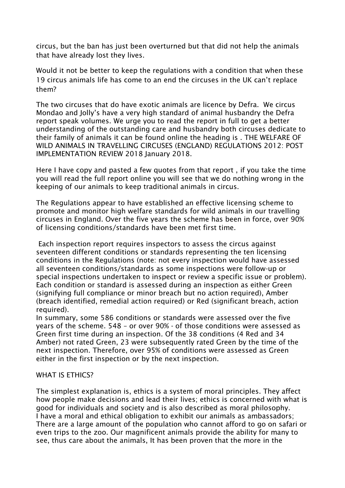circus, but the ban has just been overturned but that did not help the animals that have already lost they lives.

Would it not be better to keep the regulations with a condition that when these 19 circus animals life has come to an end the circuses in the UK can't replace them?

The two circuses that do have exotic animals are licence by Defra. We circus Mondao and Jolly's have a very high standard of animal husbandry the Defra report speak volumes. We urge you to read the report in full to get a better understanding of the outstanding care and husbandry both circuses dedicate to their family of animals it can be found online the heading is . THE WELFARE OF WILD ANIMALS IN TRAVELLING CIRCUSES (ENGLAND) REGULATIONS 2012: POST IMPLEMENTATION REVIEW 2018 January 2018.

Here I have copy and pasted a few quotes from that report , if you take the time you will read the full report online you will see that we do nothing wrong in the keeping of our animals to keep traditional animals in circus.

The Regulations appear to have established an effective licensing scheme to promote and monitor high welfare standards for wild animals in our travelling circuses in England. Over the five years the scheme has been in force, over 90% of licensing conditions/standards have been met first time.

Each inspection report requires inspectors to assess the circus against seventeen different conditions or standards representing the ten licensing conditions in the Regulations (note: not every inspection would have assessed all seventeen conditions/standards as some inspections were follow-up or special inspections undertaken to inspect or review a specific issue or problem). Each condition or standard is assessed during an inspection as either Green (signifying full compliance or minor breach but no action required), Amber (breach identified, remedial action required) or Red (significant breach, action required).

In summary, some 586 conditions or standards were assessed over the five years of the scheme. 548 – or over 90% - of those conditions were assessed as Green first time during an inspection. Of the 38 conditions (4 Red and 34 Amber) not rated Green, 23 were subsequently rated Green by the time of the next inspection. Therefore, over 95% of conditions were assessed as Green either in the first inspection or by the next inspection.

## WHAT IS ETHICS?

The simplest explanation is, ethics is a system of moral principles. They affect how people make decisions and lead their lives; ethics is concerned with what is good for individuals and society and is also described as moral philosophy. I have a moral and ethical obligation to exhibit our animals as ambassadors; There are a large amount of the population who cannot afford to go on safari or even trips to the zoo. Our magnificent animals provide the ability for many to see, thus care about the animals, It has been proven that the more in the